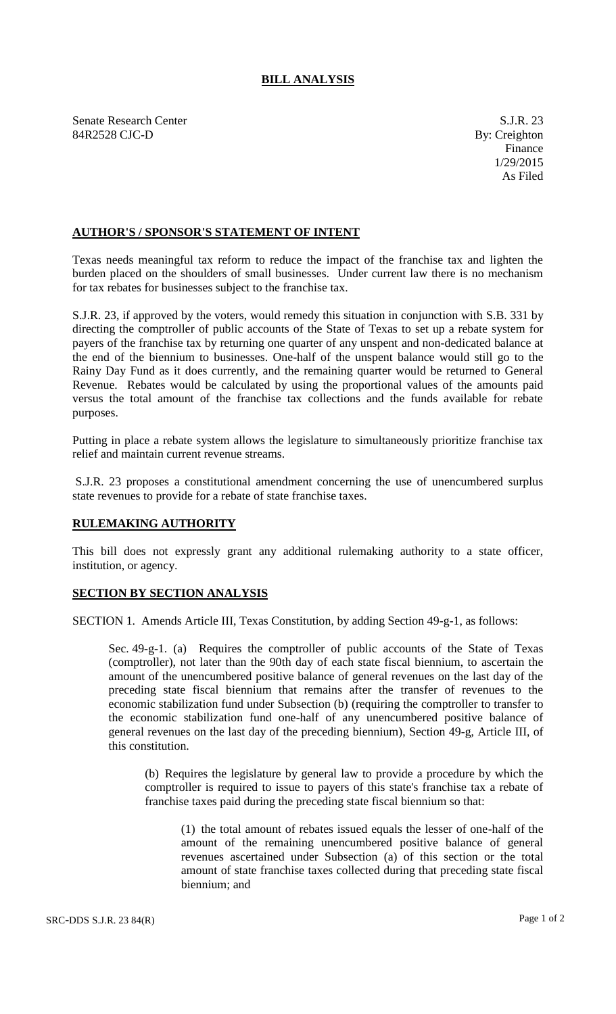## **BILL ANALYSIS**

Senate Research Center S.J.R. 23 84R2528 CJC-D By: Creighton

## **AUTHOR'S / SPONSOR'S STATEMENT OF INTENT**

Texas needs meaningful tax reform to reduce the impact of the franchise tax and lighten the burden placed on the shoulders of small businesses. Under current law there is no mechanism for tax rebates for businesses subject to the franchise tax.

S.J.R. 23, if approved by the voters, would remedy this situation in conjunction with S.B. 331 by directing the comptroller of public accounts of the State of Texas to set up a rebate system for payers of the franchise tax by returning one quarter of any unspent and non-dedicated balance at the end of the biennium to businesses. One-half of the unspent balance would still go to the Rainy Day Fund as it does currently, and the remaining quarter would be returned to General Revenue. Rebates would be calculated by using the proportional values of the amounts paid versus the total amount of the franchise tax collections and the funds available for rebate purposes.

Putting in place a rebate system allows the legislature to simultaneously prioritize franchise tax relief and maintain current revenue streams.

S.J.R. 23 proposes a constitutional amendment concerning the use of unencumbered surplus state revenues to provide for a rebate of state franchise taxes.

## **RULEMAKING AUTHORITY**

This bill does not expressly grant any additional rulemaking authority to a state officer, institution, or agency.

## **SECTION BY SECTION ANALYSIS**

SECTION 1. Amends Article III, Texas Constitution, by adding Section 49-g-1, as follows:

Sec. 49-g-1. (a) Requires the comptroller of public accounts of the State of Texas (comptroller), not later than the 90th day of each state fiscal biennium, to ascertain the amount of the unencumbered positive balance of general revenues on the last day of the preceding state fiscal biennium that remains after the transfer of revenues to the economic stabilization fund under Subsection (b) (requiring the comptroller to transfer to the economic stabilization fund one-half of any unencumbered positive balance of general revenues on the last day of the preceding biennium), Section 49-g, Article III, of this constitution.

(b) Requires the legislature by general law to provide a procedure by which the comptroller is required to issue to payers of this state's franchise tax a rebate of franchise taxes paid during the preceding state fiscal biennium so that:

(1) the total amount of rebates issued equals the lesser of one-half of the amount of the remaining unencumbered positive balance of general revenues ascertained under Subsection (a) of this section or the total amount of state franchise taxes collected during that preceding state fiscal biennium; and